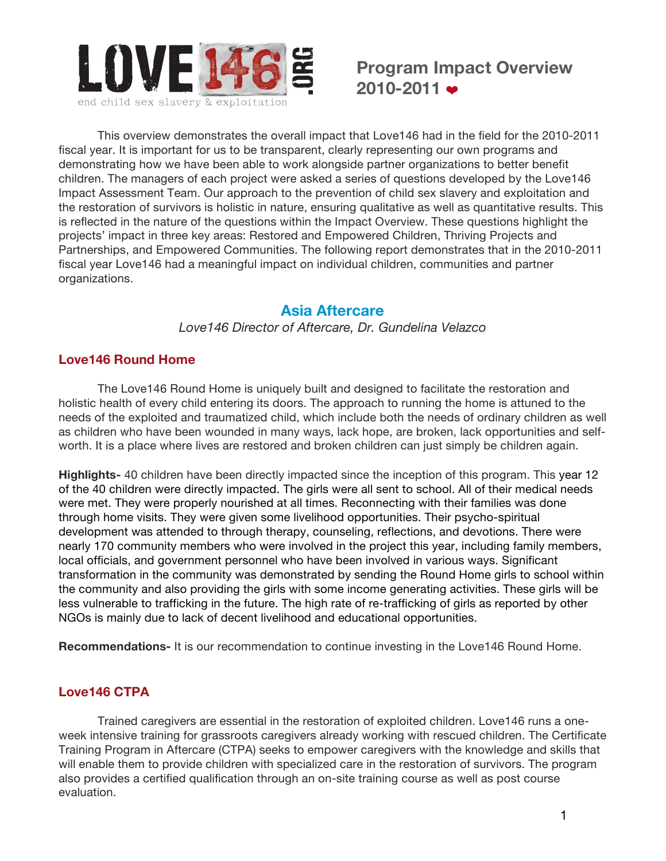

This overview demonstrates the overall impact that Love146 had in the field for the 2010-2011 fiscal year. It is important for us to be transparent, clearly representing our own programs and demonstrating how we have been able to work alongside partner organizations to better benefit children. The managers of each project were asked a series of questions developed by the Love146 Impact Assessment Team. Our approach to the prevention of child sex slavery and exploitation and the restoration of survivors is holistic in nature, ensuring qualitative as well as quantitative results. This is reflected in the nature of the questions within the Impact Overview. These questions highlight the projects' impact in three key areas: Restored and Empowered Children, Thriving Projects and Partnerships, and Empowered Communities. The following report demonstrates that in the 2010-2011 fiscal year Love146 had a meaningful impact on individual children, communities and partner organizations.

### **Asia Aftercare**

*Love146 Director of Aftercare, Dr. Gundelina Velazco*

### **Love146 Round Home**

The Love146 Round Home is uniquely built and designed to facilitate the restoration and holistic health of every child entering its doors. The approach to running the home is attuned to the needs of the exploited and traumatized child, which include both the needs of ordinary children as well as children who have been wounded in many ways, lack hope, are broken, lack opportunities and selfworth. It is a place where lives are restored and broken children can just simply be children again.

**Highlights-** 40 children have been directly impacted since the inception of this program. This year 12 of the 40 children were directly impacted. The girls were all sent to school. All of their medical needs were met. They were properly nourished at all times. Reconnecting with their families was done through home visits. They were given some livelihood opportunities. Their psycho-spiritual development was attended to through therapy, counseling, reflections, and devotions. There were nearly 170 community members who were involved in the project this year, including family members, local officials, and government personnel who have been involved in various ways. Significant transformation in the community was demonstrated by sending the Round Home girls to school within the community and also providing the girls with some income generating activities. These girls will be less vulnerable to trafficking in the future. The high rate of re-trafficking of girls as reported by other NGOs is mainly due to lack of decent livelihood and educational opportunities.

**Recommendations-** It is our recommendation to continue investing in the Love146 Round Home.

# **Love146 CTPA**

Trained caregivers are essential in the restoration of exploited children. Love146 runs a oneweek intensive training for grassroots caregivers already working with rescued children. The Certificate Training Program in Aftercare (CTPA) seeks to empower caregivers with the knowledge and skills that will enable them to provide children with specialized care in the restoration of survivors. The program also provides a certified qualification through an on-site training course as well as post course evaluation.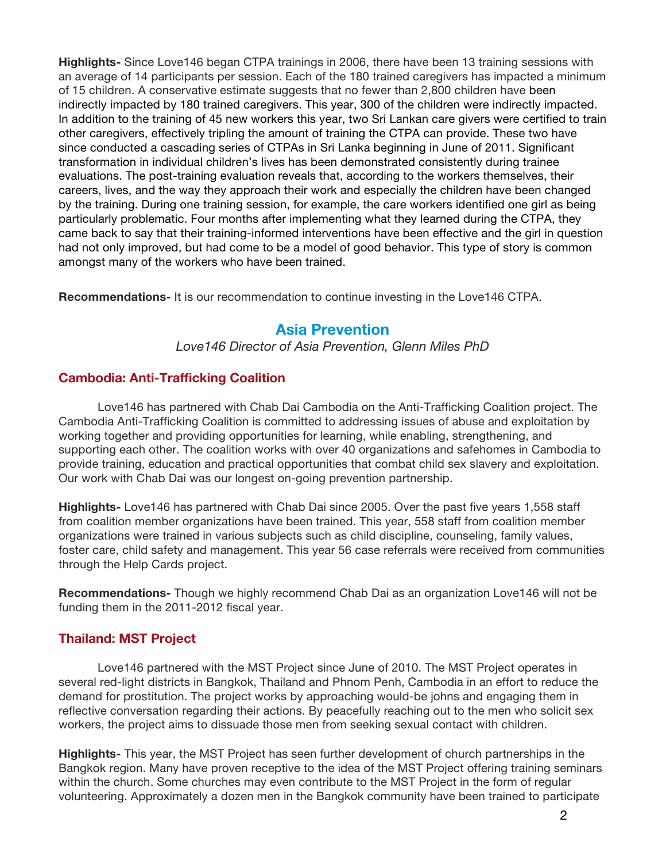**Highlights-** Since Love146 began CTPA trainings in 2006, there have been 13 training sessions with an average of 14 participants per session. Each of the 180 trained caregivers has impacted a minimum of 15 children. A conservative estimate suggests that no fewer than 2,800 children have been indirectly impacted by 180 trained caregivers. This year, 300 of the children were indirectly impacted. In addition to the training of 45 new workers this year, two Sri Lankan care givers were certified to train other caregivers, effectively tripling the amount of training the CTPA can provide. These two have since conducted a cascading series of CTPAs in Sri Lanka beginning in June of 2011. Significant transformation in individual children's lives has been demonstrated consistently during trainee evaluations. The post-training evaluation reveals that, according to the workers themselves, their careers, lives, and the way they approach their work and especially the children have been changed by the training. During one training session, for example, the care workers identified one girl as being particularly problematic. Four months after implementing what they learned during the CTPA, they came back to say that their training-informed interventions have been effective and the girl in question had not only improved, but had come to be a model of good behavior. This type of story is common amongst many of the workers who have been trained.

**Recommendations-** It is our recommendation to continue investing in the Love146 CTPA.

# **Asia Prevention**

*Love146 Director of Asia Prevention, Glenn Miles PhD*

# **Cambodia: Anti-Trafficking Coalition**

Love146 has partnered with Chab Dai Cambodia on the Anti-Trafficking Coalition project. The Cambodia Anti-Trafficking Coalition is committed to addressing issues of abuse and exploitation by working together and providing opportunities for learning, while enabling, strengthening, and supporting each other. The coalition works with over 40 organizations and safehomes in Cambodia to provide training, education and practical opportunities that combat child sex slavery and exploitation. Our work with Chab Dai was our longest on-going prevention partnership.

**Highlights-** Love146 has partnered with Chab Dai since 2005. Over the past five years 1,558 staff from coalition member organizations have been trained. This year, 558 staff from coalition member organizations were trained in various subjects such as child discipline, counseling, family values, foster care, child safety and management. This year 56 case referrals were received from communities through the Help Cards project.

**Recommendations-** Though we highly recommend Chab Dai as an organization Love146 will not be funding them in the 2011-2012 fiscal year.

# **Thailand: MST Project**

Love146 partnered with the MST Project since June of 2010. The MST Project operates in several red-light districts in Bangkok, Thailand and Phnom Penh, Cambodia in an effort to reduce the demand for prostitution. The project works by approaching would-be johns and engaging them in reflective conversation regarding their actions. By peacefully reaching out to the men who solicit sex workers, the project aims to dissuade those men from seeking sexual contact with children.

**Highlights-** This year, the MST Project has seen further development of church partnerships in the Bangkok region. Many have proven receptive to the idea of the MST Project offering training seminars within the church. Some churches may even contribute to the MST Project in the form of regular volunteering. Approximately a dozen men in the Bangkok community have been trained to participate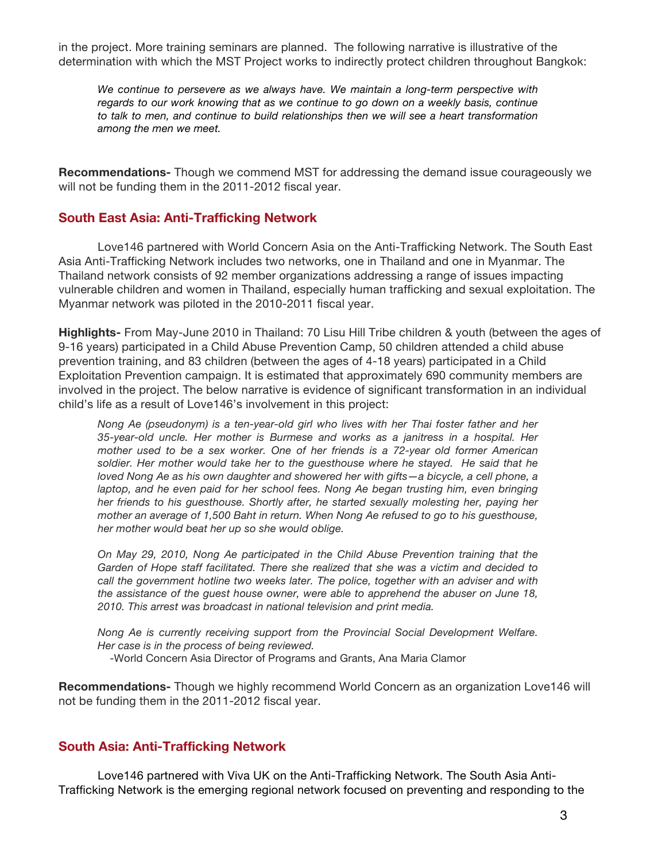in the project. More training seminars are planned. The following narrative is illustrative of the determination with which the MST Project works to indirectly protect children throughout Bangkok:

*We continue to persevere as we always have. We maintain a long-term perspective with*  regards to our work knowing that as we continue to go down on a weekly basis, continue *to talk to men, and continue to build relationships then we will see a heart transformation among the men we meet.*

**Recommendations-** Though we commend MST for addressing the demand issue courageously we will not be funding them in the 2011-2012 fiscal year.

### **South East Asia: Anti-Trafficking Network**

Love146 partnered with World Concern Asia on the Anti-Trafficking Network. The South East Asia Anti-Trafficking Network includes two networks, one in Thailand and one in Myanmar. The Thailand network consists of 92 member organizations addressing a range of issues impacting vulnerable children and women in Thailand, especially human trafficking and sexual exploitation. The Myanmar network was piloted in the 2010-2011 fiscal year.

**Highlights-** From May-June 2010 in Thailand: 70 Lisu Hill Tribe children & youth (between the ages of 9-16 years) participated in a Child Abuse Prevention Camp, 50 children attended a child abuse prevention training, and 83 children (between the ages of 4-18 years) participated in a Child Exploitation Prevention campaign. It is estimated that approximately 690 community members are involved in the project. The below narrative is evidence of significant transformation in an individual child's life as a result of Love146's involvement in this project:

*Nong Ae (pseudonym) is a ten-year-old girl who lives with her Thai foster father and her 35-year-old uncle. Her mother is Burmese and works as a janitress in a hospital. Her mother used to be a sex worker. One of her friends is a 72-year old former American soldier. Her mother would take her to the guesthouse where he stayed. He said that he loved Nong Ae as his own daughter and showered her with gifts—a bicycle, a cell phone, a laptop, and he even paid for her school fees. Nong Ae began trusting him, even bringing her friends to his guesthouse. Shortly after, he started sexually molesting her, paying her mother an average of 1,500 Baht in return. When Nong Ae refused to go to his guesthouse, her mother would beat her up so she would oblige.* 

*On May 29, 2010, Nong Ae participated in the Child Abuse Prevention training that the Garden of Hope staff facilitated. There she realized that she was a victim and decided to*  call the government hotline two weeks later. The police, together with an adviser and with *the assistance of the guest house owner, were able to apprehend the abuser on June 18, 2010. This arrest was broadcast in national television and print media.* 

*Nong Ae is currently receiving support from the Provincial Social Development Welfare. Her case is in the process of being reviewed.*

-World Concern Asia Director of Programs and Grants, Ana Maria Clamor

**Recommendations-** Though we highly recommend World Concern as an organization Love146 will not be funding them in the 2011-2012 fiscal year.

#### **South Asia: Anti-Trafficking Network**

Love146 partnered with Viva UK on the Anti-Trafficking Network. The South Asia Anti-Trafficking Network is the emerging regional network focused on preventing and responding to the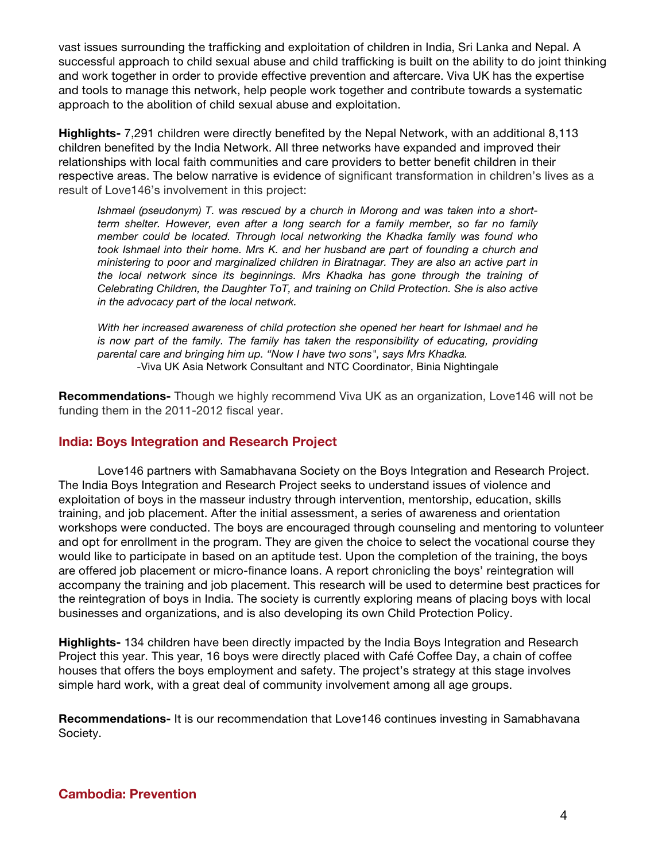vast issues surrounding the trafficking and exploitation of children in India, Sri Lanka and Nepal. A successful approach to child sexual abuse and child trafficking is built on the ability to do joint thinking and work together in order to provide effective prevention and aftercare. Viva UK has the expertise and tools to manage this network, help people work together and contribute towards a systematic approach to the abolition of child sexual abuse and exploitation.

**Highlights-** 7,291 children were directly benefited by the Nepal Network, with an additional 8,113 children benefited by the India Network. All three networks have expanded and improved their relationships with local faith communities and care providers to better benefit children in their respective areas. The below narrative is evidence of significant transformation in children's lives as a result of Love146's involvement in this project:

*Ishmael (pseudonym) T. was rescued by a church in Morong and was taken into a shortterm shelter. However, even after a long search for a family member, so far no family member could be located. Through local networking the Khadka family was found who took Ishmael into their home. Mrs K. and her husband are part of founding a church and ministering to poor and marginalized children in Biratnagar. They are also an active part in the local network since its beginnings. Mrs Khadka has gone through the training of Celebrating Children, the Daughter ToT, and training on Child Protection. She is also active in the advocacy part of the local network.* 

*With her increased awareness of child protection she opened her heart for Ishmael and he*  is now part of the family. The family has taken the responsibility of educating, providing *parental care and bringing him up. "Now I have two sons", says Mrs Khadka.*  -Viva UK Asia Network Consultant and NTC Coordinator, Binia Nightingale

**Recommendations-** Though we highly recommend Viva UK as an organization, Love146 will not be funding them in the 2011-2012 fiscal year.

### **India: Boys Integration and Research Project**

Love146 partners with Samabhavana Society on the Boys Integration and Research Project. The India Boys Integration and Research Project seeks to understand issues of violence and exploitation of boys in the masseur industry through intervention, mentorship, education, skills training, and job placement. After the initial assessment, a series of awareness and orientation workshops were conducted. The boys are encouraged through counseling and mentoring to volunteer and opt for enrollment in the program. They are given the choice to select the vocational course they would like to participate in based on an aptitude test. Upon the completion of the training, the boys are offered job placement or micro-finance loans. A report chronicling the boys' reintegration will accompany the training and job placement. This research will be used to determine best practices for the reintegration of boys in India. The society is currently exploring means of placing boys with local businesses and organizations, and is also developing its own Child Protection Policy.

**Highlights-** 134 children have been directly impacted by the India Boys Integration and Research Project this year. This year, 16 boys were directly placed with Café Coffee Day, a chain of coffee houses that offers the boys employment and safety. The project's strategy at this stage involves simple hard work, with a great deal of community involvement among all age groups.

**Recommendations-** It is our recommendation that Love146 continues investing in Samabhavana Society.

#### **Cambodia: Prevention**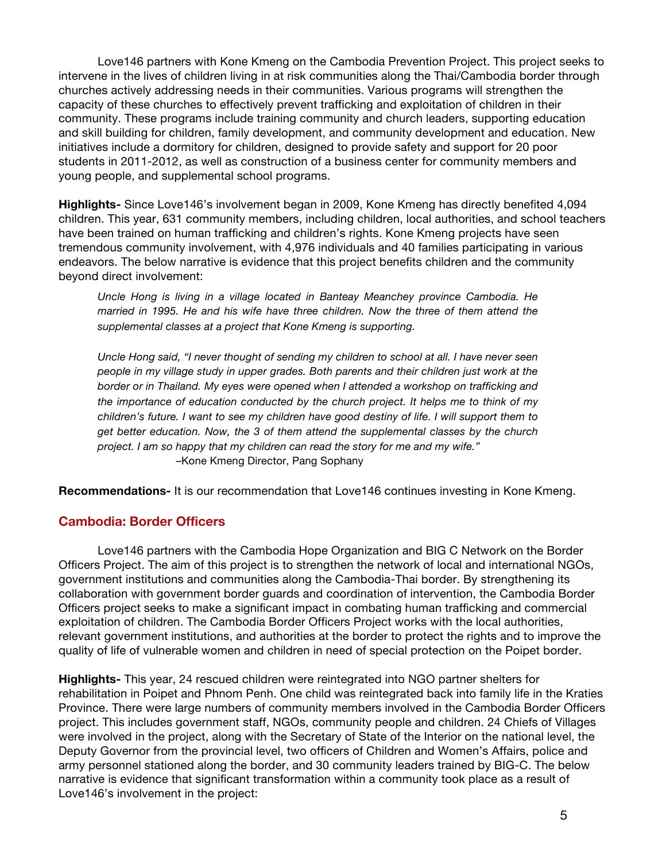Love146 partners with Kone Kmeng on the Cambodia Prevention Project. This project seeks to intervene in the lives of children living in at risk communities along the Thai/Cambodia border through churches actively addressing needs in their communities. Various programs will strengthen the capacity of these churches to effectively prevent trafficking and exploitation of children in their community. These programs include training community and church leaders, supporting education and skill building for children, family development, and community development and education. New initiatives include a dormitory for children, designed to provide safety and support for 20 poor students in 2011-2012, as well as construction of a business center for community members and young people, and supplemental school programs.

**Highlights-** Since Love146's involvement began in 2009, Kone Kmeng has directly benefited 4,094 children. This year, 631 community members, including children, local authorities, and school teachers have been trained on human trafficking and children's rights. Kone Kmeng projects have seen tremendous community involvement, with 4,976 individuals and 40 families participating in various endeavors. The below narrative is evidence that this project benefits children and the community beyond direct involvement:

*Uncle Hong is living in a village located in Banteay Meanchey province Cambodia. He married in 1995. He and his wife have three children. Now the three of them attend the supplemental classes at a project that Kone Kmeng is supporting.* 

*Uncle Hong said, "I never thought of sending my children to school at all. I have never seen people in my village study in upper grades. Both parents and their children just work at the border or in Thailand. My eyes were opened when I attended a workshop on trafficking and the importance of education conducted by the church project. It helps me to think of my children's future. I want to see my children have good destiny of life. I will support them to get better education. Now, the 3 of them attend the supplemental classes by the church project. I am so happy that my children can read the story for me and my wife."*  –Kone Kmeng Director, Pang Sophany

**Recommendations-** It is our recommendation that Love146 continues investing in Kone Kmeng.

### **Cambodia: Border Officers**

Love146 partners with the Cambodia Hope Organization and BIG C Network on the Border Officers Project. The aim of this project is to strengthen the network of local and international NGOs, government institutions and communities along the Cambodia-Thai border. By strengthening its collaboration with government border guards and coordination of intervention, the Cambodia Border Officers project seeks to make a significant impact in combating human trafficking and commercial exploitation of children. The Cambodia Border Officers Project works with the local authorities, relevant government institutions, and authorities at the border to protect the rights and to improve the quality of life of vulnerable women and children in need of special protection on the Poipet border.

**Highlights-** This year, 24 rescued children were reintegrated into NGO partner shelters for rehabilitation in Poipet and Phnom Penh. One child was reintegrated back into family life in the Kraties Province. There were large numbers of community members involved in the Cambodia Border Officers project. This includes government staff, NGOs, community people and children. 24 Chiefs of Villages were involved in the project, along with the Secretary of State of the Interior on the national level, the Deputy Governor from the provincial level, two officers of Children and Women's Affairs, police and army personnel stationed along the border, and 30 community leaders trained by BIG-C. The below narrative is evidence that significant transformation within a community took place as a result of Love146's involvement in the project: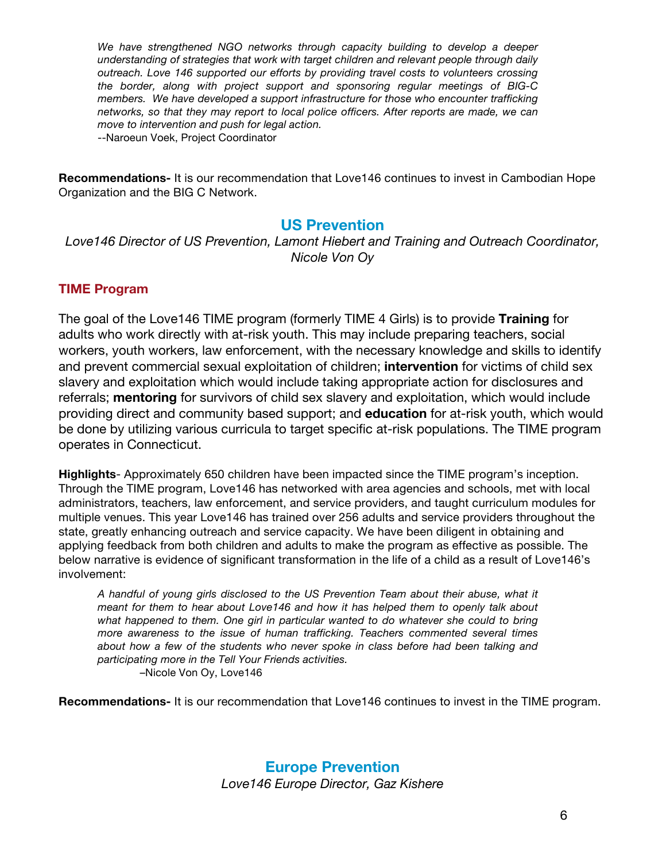*We have strengthened NGO networks through capacity building to develop a deeper understanding of strategies that work with target children and relevant people through daily outreach. Love 146 supported our efforts by providing travel costs to volunteers crossing the border, along with project support and sponsoring regular meetings of BIG-C members. We have developed a support infrastructure for those who encounter trafficking networks, so that they may report to local police officers. After reports are made, we can move to intervention and push for legal action.* --Naroeun Voek, Project Coordinator

**Recommendations-** It is our recommendation that Love146 continues to invest in Cambodian Hope Organization and the BIG C Network.

# **US Prevention**

*Love146 Director of US Prevention, Lamont Hiebert and Training and Outreach Coordinator, Nicole Von Oy*

### **TIME Program**

The goal of the Love146 TIME program (formerly TIME 4 Girls) is to provide **Training** for adults who work directly with at-risk youth. This may include preparing teachers, social workers, youth workers, law enforcement, with the necessary knowledge and skills to identify and prevent commercial sexual exploitation of children; **intervention** for victims of child sex slavery and exploitation which would include taking appropriate action for disclosures and referrals; **mentoring** for survivors of child sex slavery and exploitation, which would include providing direct and community based support; and **education** for at-risk youth, which would be done by utilizing various curricula to target specific at-risk populations. The TIME program operates in Connecticut.

**Highlights**- Approximately 650 children have been impacted since the TIME program's inception. Through the TIME program, Love146 has networked with area agencies and schools, met with local administrators, teachers, law enforcement, and service providers, and taught curriculum modules for multiple venues. This year Love146 has trained over 256 adults and service providers throughout the state, greatly enhancing outreach and service capacity. We have been diligent in obtaining and applying feedback from both children and adults to make the program as effective as possible. The below narrative is evidence of significant transformation in the life of a child as a result of Love146's involvement:

*A handful of young girls disclosed to the US Prevention Team about their abuse, what it meant for them to hear about Love146 and how it has helped them to openly talk about what happened to them. One girl in particular wanted to do whatever she could to bring more awareness to the issue of human trafficking. Teachers commented several times about how a few of the students who never spoke in class before had been talking and participating more in the Tell Your Friends activities.* –Nicole Von Oy, Love146

**Recommendations-** It is our recommendation that Love146 continues to invest in the TIME program.

**Europe Prevention** *Love146 Europe Director, Gaz Kishere*